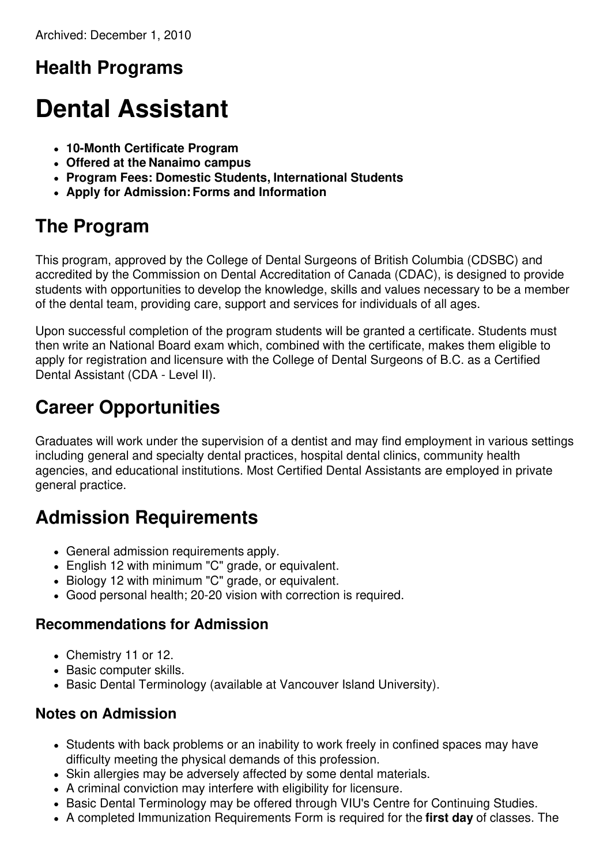# **Health Programs**

# **Dental Assistant**

- **10-Month Certificate Program**
- **Offered at the Nanaimo campus**
- **Program Fees: Domestic Students, International Students**
- **Apply for Admission:Forms and Information**

# **The Program**

This program, approved by the College of Dental Surgeons of British Columbia (CDSBC) and accredited by the Commission on Dental Accreditation of Canada (CDAC), is designed to provide students with opportunities to develop the knowledge, skills and values necessary to be a member of the dental team, providing care, support and services for individuals of all ages.

Upon successful completion of the program students will be granted a certificate. Students must then write an National Board exam which, combined with the certificate, makes them eligible to apply for registration and licensure with the College of Dental Surgeons of B.C. as a Certified Dental Assistant (CDA - Level II).

# **Career Opportunities**

Graduates will work under the supervision of a dentist and may find employment in various settings including general and specialty dental practices, hospital dental clinics, community health agencies, and educational institutions. Most Certified Dental Assistants are employed in private general practice.

# **Admission Requirements**

- General admission requirements apply.
- English 12 with minimum "C" grade, or equivalent.
- Biology 12 with minimum "C" grade, or equivalent.
- Good personal health; 20-20 vision with correction is required.

#### **Recommendations for Admission**

- Chemistry 11 or 12.
- Basic computer skills.
- Basic Dental Terminology (available at Vancouver Island University).

#### **Notes on Admission**

- Students with back problems or an inability to work freely in confined spaces may have difficulty meeting the physical demands of this profession.
- Skin allergies may be adversely affected by some dental materials.
- A criminal conviction may interfere with eligibility for licensure.
- Basic Dental Terminology may be offered through VIU's Centre for Continuing Studies.
- A completed Immunization Requirements Form is required for the **first day** of classes. The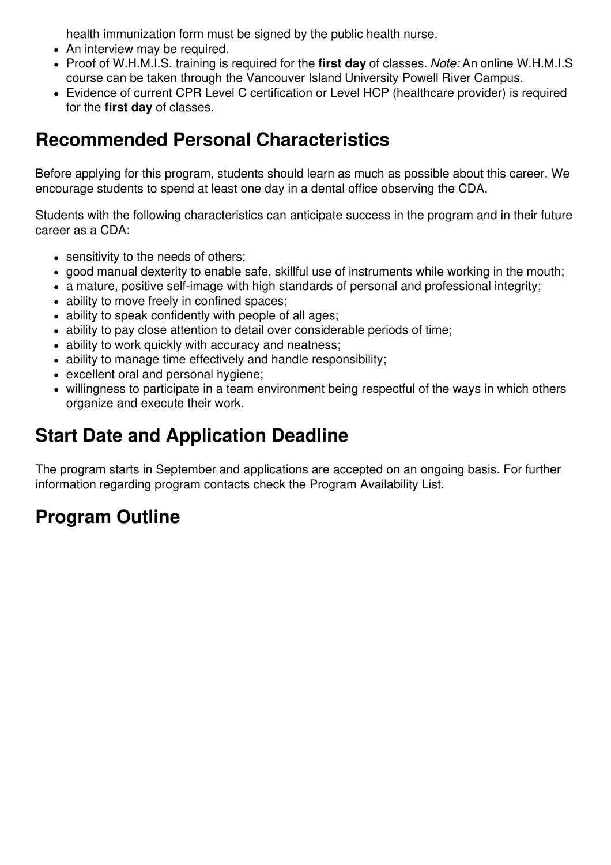health immunization form must be signed by the public health nurse.

- An interview may be required.
- Proof of W.H.M.I.S. training is required for the **first day** of classes. *Note:* An online W.H.M.I.S course can be taken through the Vancouver Island University Powell River Campus.
- Evidence of current CPR Level C certification or Level HCP (healthcare provider) is required for the **first day** of classes.

### **Recommended Personal Characteristics**

Before applying for this program, students should learn as much as possible about this career. We encourage students to spend at least one day in a dental office observing the CDA.

Students with the following characteristics can anticipate success in the program and in their future career as a CDA:

- sensitivity to the needs of others;
- good manual dexterity to enable safe, skillful use of instruments while working in the mouth;
- a mature, positive self-image with high standards of personal and professional integrity;
- ability to move freely in confined spaces;
- ability to speak confidently with people of all ages;
- ability to pay close attention to detail over considerable periods of time;
- ability to work quickly with accuracy and neatness;
- ability to manage time effectively and handle responsibility;
- excellent oral and personal hygiene;
- willingness to participate in a team environment being respectful of the ways in which others organize and execute their work.

# **Start Date and Application Deadline**

The program starts in September and applications are accepted on an ongoing basis. For further information regarding program contacts check the Program Availability List.

# **Program Outline**